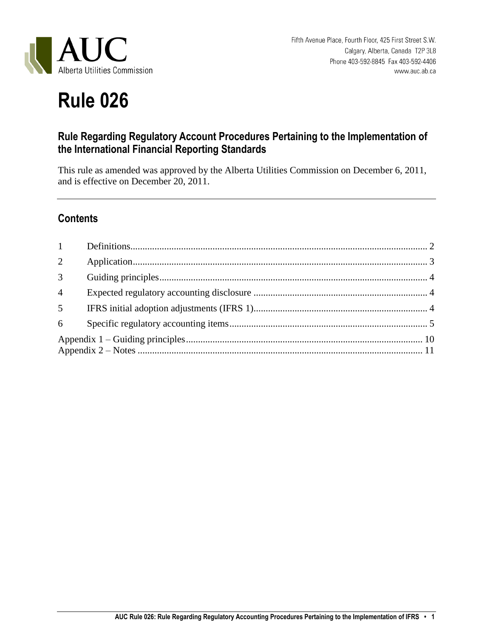

# **Rule 026**

## **Rule Regarding Regulatory Account Procedures Pertaining to the Implementation of the International Financial Reporting Standards**

This rule as amended was approved by the Alberta Utilities Commission on December 6, 2011, and is effective on December 20, 2011.

## **Contents**

<span id="page-0-0"></span>

| $\overline{2}$  |  |  |  |
|-----------------|--|--|--|
| 3 <sup>1</sup>  |  |  |  |
| $\overline{4}$  |  |  |  |
| 5 <sup>5</sup>  |  |  |  |
| $6\overline{6}$ |  |  |  |
|                 |  |  |  |
|                 |  |  |  |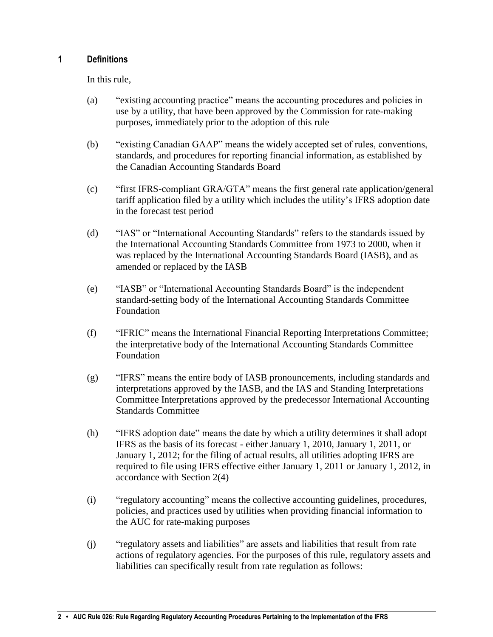#### **1 Definitions**

In this rule,

- (a) "existing accounting practice" means the accounting procedures and policies in use by a utility, that have been approved by the Commission for rate-making purposes, immediately prior to the adoption of this rule
- (b) "existing Canadian GAAP" means the widely accepted set of rules, conventions, standards, and procedures for reporting financial information, as established by the Canadian Accounting Standards Board
- (c) "first IFRS-compliant GRA/GTA" means the first general rate application/general tariff application filed by a utility which includes the utility's IFRS adoption date in the forecast test period
- (d) "IAS" or "International Accounting Standards" refers to the standards issued by the International Accounting Standards Committee from 1973 to 2000, when it was replaced by the International Accounting Standards Board (IASB), and as amended or replaced by the IASB
- (e) "IASB" or "International Accounting Standards Board" is the independent standard-setting body of the International Accounting Standards Committee Foundation
- (f) "IFRIC" means the International Financial Reporting Interpretations Committee; the interpretative body of the International Accounting Standards Committee Foundation
- (g) "IFRS" means the entire body of IASB pronouncements, including standards and interpretations approved by the IASB, and the IAS and Standing Interpretations Committee Interpretations approved by the predecessor International Accounting Standards Committee
- (h) "IFRS adoption date" means the date by which a utility determines it shall adopt IFRS as the basis of its forecast - either January 1, 2010, January 1, 2011, or January 1, 2012; for the filing of actual results, all utilities adopting IFRS are required to file using IFRS effective either January 1, 2011 or January 1, 2012, in accordance with Section 2(4)
- (i) "regulatory accounting" means the collective accounting guidelines, procedures, policies, and practices used by utilities when providing financial information to the AUC for rate-making purposes
- (j) "regulatory assets and liabilities" are assets and liabilities that result from rate actions of regulatory agencies. For the purposes of this rule, regulatory assets and liabilities can specifically result from rate regulation as follows: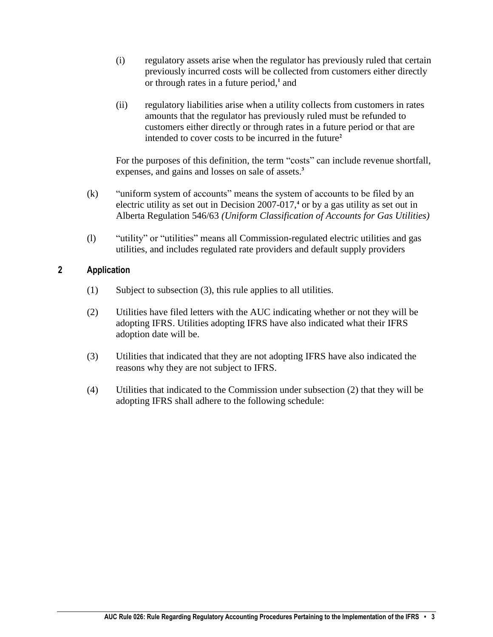- (i) regulatory assets arise when the regulator has previously ruled that certain previously incurred costs will be collected from customers either directly or through rates in a future period,<sup>1</sup> and
- (ii) regulatory liabilities arise when a utility collects from customers in rates amounts that the regulator has previously ruled must be refunded to customers either directly or through rates in a future period or that are intended to cover costs to be incurred in the future**<sup>2</sup>**

For the purposes of this definition, the term "costs" can include revenue shortfall, expenses, and gains and losses on sale of assets. **3**

- (k) "uniform system of accounts" means the system of accounts to be filed by an electric utility as set out in Decision 2007-017,<sup>4</sup> or by a gas utility as set out in Alberta Regulation 546/63 *(Uniform Classification of Accounts for Gas Utilities)*
- (l) "utility" or "utilities" means all Commission-regulated electric utilities and gas utilities, and includes regulated rate providers and default supply providers

#### <span id="page-2-0"></span>**2 Application**

- (1) Subject to subsection (3), this rule applies to all utilities.
- (2) Utilities have filed letters with the AUC indicating whether or not they will be adopting IFRS. Utilities adopting IFRS have also indicated what their IFRS adoption date will be.
- (3) Utilities that indicated that they are not adopting IFRS have also indicated the reasons why they are not subject to IFRS.
- (4) Utilities that indicated to the Commission under subsection (2) that they will be adopting IFRS shall adhere to the following schedule: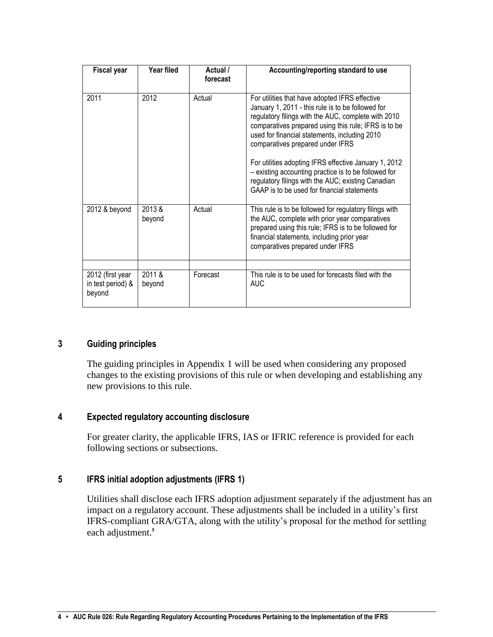| <b>Fiscal year</b>                              | Year filed      | Actual /<br>forecast | Accounting/reporting standard to use                                                                                                                                                                                                                                                                                                                                                                                                                                                                                          |
|-------------------------------------------------|-----------------|----------------------|-------------------------------------------------------------------------------------------------------------------------------------------------------------------------------------------------------------------------------------------------------------------------------------------------------------------------------------------------------------------------------------------------------------------------------------------------------------------------------------------------------------------------------|
| 2011                                            | 2012            | Actual               | For utilities that have adopted IFRS effective<br>January 1, 2011 - this rule is to be followed for<br>regulatory filings with the AUC, complete with 2010<br>comparatives prepared using this rule; IFRS is to be<br>used for financial statements, including 2010<br>comparatives prepared under IFRS<br>For utilities adopting IFRS effective January 1, 2012<br>- existing accounting practice is to be followed for<br>regulatory filings with the AUC; existing Canadian<br>GAAP is to be used for financial statements |
| 2012 & beyond                                   | 2013&<br>beyond | Actual               | This rule is to be followed for regulatory filings with<br>the AUC, complete with prior year comparatives<br>prepared using this rule; IFRS is to be followed for<br>financial statements, including prior year<br>comparatives prepared under IFRS                                                                                                                                                                                                                                                                           |
|                                                 |                 |                      |                                                                                                                                                                                                                                                                                                                                                                                                                                                                                                                               |
| 2012 (first year<br>in test period) &<br>beyond | 2011&<br>beyond | Forecast             | This rule is to be used for forecasts filed with the<br><b>AUC</b>                                                                                                                                                                                                                                                                                                                                                                                                                                                            |

#### <span id="page-3-0"></span>**3 Guiding principles**

The guiding principles in Appendix 1 will be used when considering any proposed changes to the existing provisions of this rule or when developing and establishing any new provisions to this rule.

#### <span id="page-3-1"></span>**4 Expected regulatory accounting disclosure**

For greater clarity, the applicable IFRS, IAS or IFRIC reference is provided for each following sections or subsections.

#### <span id="page-3-2"></span>**5 IFRS initial adoption adjustments (IFRS 1)**

Utilities shall disclose each IFRS adoption adjustment separately if the adjustment has an impact on a regulatory account. These adjustments shall be included in a utility's first IFRS-compliant GRA/GTA, along with the utility's proposal for the method for settling each adjustment.**5**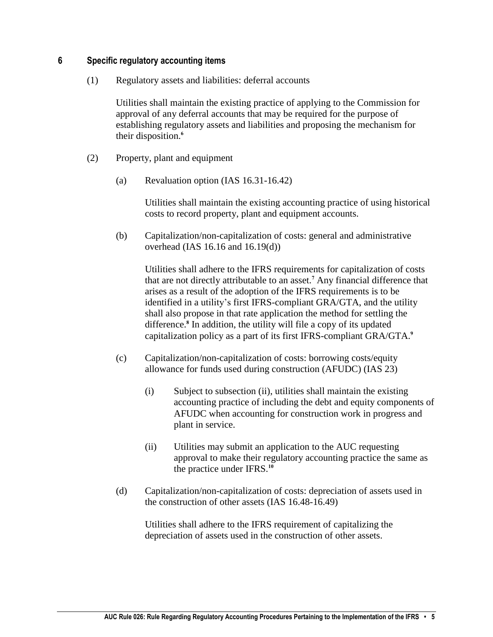#### <span id="page-4-0"></span>**6 Specific regulatory accounting items**

(1) Regulatory assets and liabilities: deferral accounts

Utilities shall maintain the existing practice of applying to the Commission for approval of any deferral accounts that may be required for the purpose of establishing regulatory assets and liabilities and proposing the mechanism for their disposition.**<sup>6</sup>**

- (2) Property, plant and equipment
	- (a) Revaluation option (IAS 16.31-16.42)

Utilities shall maintain the existing accounting practice of using historical costs to record property, plant and equipment accounts.

(b) Capitalization/non-capitalization of costs: general and administrative overhead (IAS 16.16 and 16.19(d))

Utilities shall adhere to the IFRS requirements for capitalization of costs that are not directly attributable to an asset.**<sup>7</sup>** Any financial difference that arises as a result of the adoption of the IFRS requirements is to be identified in a utility's first IFRS-compliant GRA/GTA, and the utility shall also propose in that rate application the method for settling the difference.**<sup>8</sup>** In addition, the utility will file a copy of its updated capitalization policy as a part of its first IFRS-compliant GRA/GTA.**<sup>9</sup>**

- (c) Capitalization/non-capitalization of costs: borrowing costs/equity allowance for funds used during construction (AFUDC) (IAS 23)
	- (i) Subject to subsection (ii), utilities shall maintain the existing accounting practice of including the debt and equity components of AFUDC when accounting for construction work in progress and plant in service.
	- (ii) Utilities may submit an application to the AUC requesting approval to make their regulatory accounting practice the same as the practice under IFRS.**<sup>10</sup>**
- (d) Capitalization/non-capitalization of costs: depreciation of assets used in the construction of other assets (IAS 16.48-16.49)

Utilities shall adhere to the IFRS requirement of capitalizing the depreciation of assets used in the construction of other assets.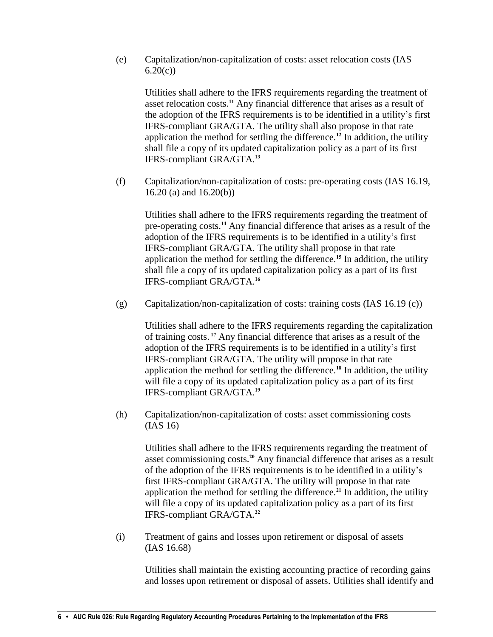(e) Capitalization/non-capitalization of costs: asset relocation costs (IAS  $6.20(c)$ 

Utilities shall adhere to the IFRS requirements regarding the treatment of asset relocation costs.**<sup>11</sup>** Any financial difference that arises as a result of the adoption of the IFRS requirements is to be identified in a utility's first IFRS-compliant GRA/GTA. The utility shall also propose in that rate application the method for settling the difference.**<sup>12</sup>** In addition, the utility shall file a copy of its updated capitalization policy as a part of its first IFRS-compliant GRA/GTA.**<sup>13</sup>**

(f) Capitalization/non-capitalization of costs: pre-operating costs (IAS 16.19, 16.20 (a) and 16.20(b))

Utilities shall adhere to the IFRS requirements regarding the treatment of pre-operating costs.**<sup>14</sup>** Any financial difference that arises as a result of the adoption of the IFRS requirements is to be identified in a utility's first IFRS-compliant GRA/GTA. The utility shall propose in that rate application the method for settling the difference.**<sup>15</sup>** In addition, the utility shall file a copy of its updated capitalization policy as a part of its first IFRS-compliant GRA/GTA.**<sup>16</sup>**

(g) Capitalization/non-capitalization of costs: training costs (IAS 16.19 (c))

Utilities shall adhere to the IFRS requirements regarding the capitalization of training costs. **<sup>17</sup>** Any financial difference that arises as a result of the adoption of the IFRS requirements is to be identified in a utility's first IFRS-compliant GRA/GTA. The utility will propose in that rate application the method for settling the difference.**<sup>18</sup>** In addition, the utility will file a copy of its updated capitalization policy as a part of its first IFRS-compliant GRA/GTA.**<sup>19</sup>**

(h) Capitalization/non-capitalization of costs: asset commissioning costs (IAS 16)

Utilities shall adhere to the IFRS requirements regarding the treatment of asset commissioning costs.**<sup>20</sup>** Any financial difference that arises as a result of the adoption of the IFRS requirements is to be identified in a utility's first IFRS-compliant GRA/GTA. The utility will propose in that rate application the method for settling the difference.**<sup>21</sup>** In addition, the utility will file a copy of its updated capitalization policy as a part of its first IFRS-compliant GRA/GTA. **22**

(i) Treatment of gains and losses upon retirement or disposal of assets (IAS 16.68)

Utilities shall maintain the existing accounting practice of recording gains and losses upon retirement or disposal of assets. Utilities shall identify and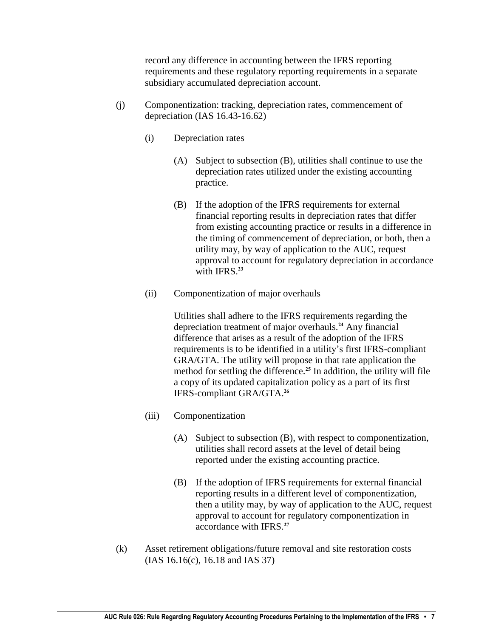record any difference in accounting between the IFRS reporting requirements and these regulatory reporting requirements in a separate subsidiary accumulated depreciation account.

- (j) Componentization: tracking, depreciation rates, commencement of depreciation (IAS 16.43-16.62)
	- (i) Depreciation rates
		- (A) Subject to subsection (B), utilities shall continue to use the depreciation rates utilized under the existing accounting practice.
		- (B) If the adoption of the IFRS requirements for external financial reporting results in depreciation rates that differ from existing accounting practice or results in a difference in the timing of commencement of depreciation, or both, then a utility may, by way of application to the AUC, request approval to account for regulatory depreciation in accordance with IFRS.**<sup>23</sup>**
	- (ii) Componentization of major overhauls

Utilities shall adhere to the IFRS requirements regarding the depreciation treatment of major overhauls.**<sup>24</sup>** Any financial difference that arises as a result of the adoption of the IFRS requirements is to be identified in a utility's first IFRS-compliant GRA/GTA. The utility will propose in that rate application the method for settling the difference.**<sup>25</sup>** In addition, the utility will file a copy of its updated capitalization policy as a part of its first IFRS-compliant GRA/GTA.**<sup>26</sup>**

- (iii) Componentization
	- (A) Subject to subsection (B), with respect to componentization, utilities shall record assets at the level of detail being reported under the existing accounting practice.
	- (B) If the adoption of IFRS requirements for external financial reporting results in a different level of componentization, then a utility may, by way of application to the AUC, request approval to account for regulatory componentization in accordance with IFRS.**<sup>27</sup>**
- (k) Asset retirement obligations/future removal and site restoration costs (IAS 16.16(c), 16.18 and IAS 37)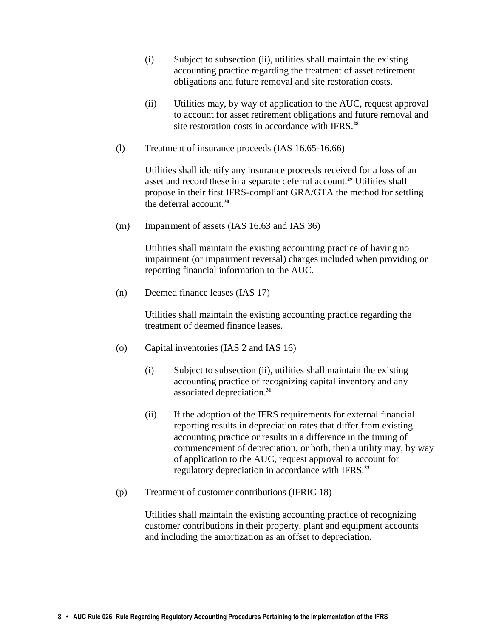- (i) Subject to subsection (ii), utilities shall maintain the existing accounting practice regarding the treatment of asset retirement obligations and future removal and site restoration costs.
- (ii) Utilities may, by way of application to the AUC, request approval to account for asset retirement obligations and future removal and site restoration costs in accordance with IFRS.**<sup>28</sup>**
- (l) Treatment of insurance proceeds (IAS 16.65-16.66)

Utilities shall identify any insurance proceeds received for a loss of an asset and record these in a separate deferral account.**<sup>29</sup>** Utilities shall propose in their first IFRS-compliant GRA/GTA the method for settling the deferral account.**<sup>30</sup>**

(m) Impairment of assets (IAS 16.63 and IAS 36)

Utilities shall maintain the existing accounting practice of having no impairment (or impairment reversal) charges included when providing or reporting financial information to the AUC.

(n) Deemed finance leases (IAS 17)

Utilities shall maintain the existing accounting practice regarding the treatment of deemed finance leases.

- (o) Capital inventories (IAS 2 and IAS 16)
	- (i) Subject to subsection (ii), utilities shall maintain the existing accounting practice of recognizing capital inventory and any associated depreciation.**<sup>31</sup>**
	- (ii) If the adoption of the IFRS requirements for external financial reporting results in depreciation rates that differ from existing accounting practice or results in a difference in the timing of commencement of depreciation, or both, then a utility may, by way of application to the AUC, request approval to account for regulatory depreciation in accordance with IFRS.**<sup>32</sup>**
- (p) Treatment of customer contributions (IFRIC 18)

Utilities shall maintain the existing accounting practice of recognizing customer contributions in their property, plant and equipment accounts and including the amortization as an offset to depreciation.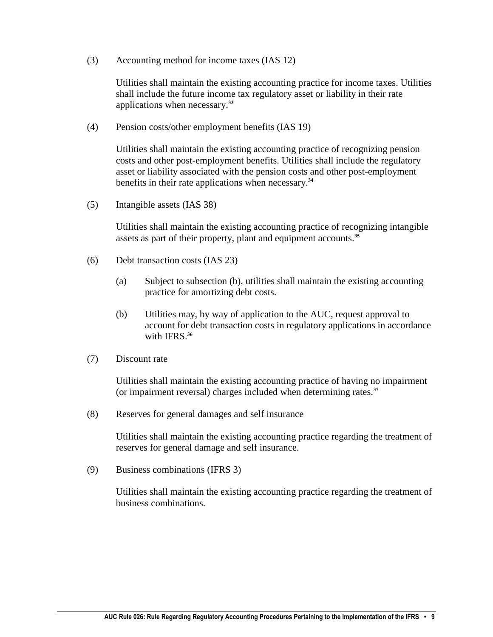(3) Accounting method for income taxes (IAS 12)

Utilities shall maintain the existing accounting practice for income taxes. Utilities shall include the future income tax regulatory asset or liability in their rate applications when necessary.**<sup>33</sup>**

(4) Pension costs/other employment benefits (IAS 19)

Utilities shall maintain the existing accounting practice of recognizing pension costs and other post-employment benefits. Utilities shall include the regulatory asset or liability associated with the pension costs and other post-employment benefits in their rate applications when necessary.**<sup>34</sup>**

(5) Intangible assets (IAS 38)

Utilities shall maintain the existing accounting practice of recognizing intangible assets as part of their property, plant and equipment accounts.**<sup>35</sup>**

- (6) Debt transaction costs (IAS 23)
	- (a) Subject to subsection (b), utilities shall maintain the existing accounting practice for amortizing debt costs.
	- (b) Utilities may, by way of application to the AUC, request approval to account for debt transaction costs in regulatory applications in accordance with IFRS.**<sup>36</sup>**
- (7) Discount rate

Utilities shall maintain the existing accounting practice of having no impairment (or impairment reversal) charges included when determining rates.**<sup>37</sup>**

(8) Reserves for general damages and self insurance

Utilities shall maintain the existing accounting practice regarding the treatment of reserves for general damage and self insurance.

(9) Business combinations (IFRS 3)

Utilities shall maintain the existing accounting practice regarding the treatment of business combinations.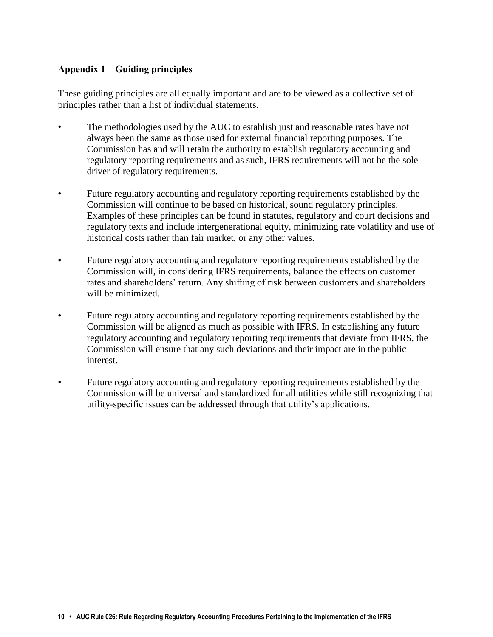#### <span id="page-9-0"></span>**Appendix 1 – Guiding principles**

These guiding principles are all equally important and are to be viewed as a collective set of principles rather than a list of individual statements.

- The methodologies used by the AUC to establish just and reasonable rates have not always been the same as those used for external financial reporting purposes. The Commission has and will retain the authority to establish regulatory accounting and regulatory reporting requirements and as such, IFRS requirements will not be the sole driver of regulatory requirements.
- Future regulatory accounting and regulatory reporting requirements established by the Commission will continue to be based on historical, sound regulatory principles. Examples of these principles can be found in statutes, regulatory and court decisions and regulatory texts and include intergenerational equity, minimizing rate volatility and use of historical costs rather than fair market, or any other values.
- Future regulatory accounting and regulatory reporting requirements established by the Commission will, in considering IFRS requirements, balance the effects on customer rates and shareholders' return. Any shifting of risk between customers and shareholders will be minimized.
- Future regulatory accounting and regulatory reporting requirements established by the Commission will be aligned as much as possible with IFRS. In establishing any future regulatory accounting and regulatory reporting requirements that deviate from IFRS, the Commission will ensure that any such deviations and their impact are in the public interest.
- Future regulatory accounting and regulatory reporting requirements established by the Commission will be universal and standardized for all utilities while still recognizing that utility-specific issues can be addressed through that utility's applications.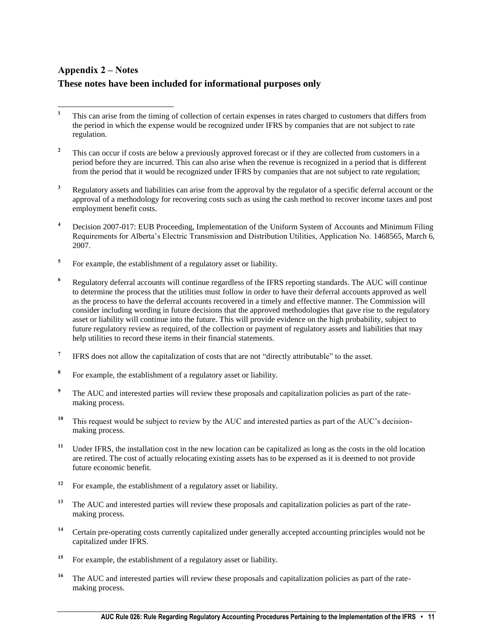### <span id="page-10-0"></span>**Appendix 2 – Notes These notes have been included for informational purposes only**

- $\mathbf{1}$ **<sup>1</sup>** This can arise from the timing of collection of certain expenses in rates charged to customers that differs from the period in which the expense would be recognized under IFRS by companies that are not subject to rate regulation.
- <sup>2</sup> This can occur if costs are below a previously approved forecast or if they are collected from customers in a period before they are incurred. This can also arise when the revenue is recognized in a period that is different from the period that it would be recognized under IFRS by companies that are not subject to rate regulation;
- <sup>3</sup> Regulatory assets and liabilities can arise from the approval by the regulator of a specific deferral account or the approval of a methodology for recovering costs such as using the cash method to recover income taxes and post employment benefit costs.
- **<sup>4</sup>** Decision 2007-017: EUB Proceeding, Implementation of the Uniform System of Accounts and Minimum Filing Requirements for Alberta's Electric Transmission and Distribution Utilities, Application No. 1468565, March 6, 2007.
- **5** For example, the establishment of a regulatory asset or liability.
- **<sup>6</sup>** Regulatory deferral accounts will continue regardless of the IFRS reporting standards. The AUC will continue to determine the process that the utilities must follow in order to have their deferral accounts approved as well as the process to have the deferral accounts recovered in a timely and effective manner. The Commission will consider including wording in future decisions that the approved methodologies that gave rise to the regulatory asset or liability will continue into the future. This will provide evidence on the high probability, subject to future regulatory review as required, of the collection or payment of regulatory assets and liabilities that may help utilities to record these items in their financial statements.
- **7** IFRS does not allow the capitalization of costs that are not "directly attributable" to the asset.
- **8** For example, the establishment of a regulatory asset or liability.
- <sup>9</sup> The AUC and interested parties will review these proposals and capitalization policies as part of the ratemaking process.
- <sup>10</sup> This request would be subject to review by the AUC and interested parties as part of the AUC's decisionmaking process.
- <sup>11</sup> Under IFRS, the installation cost in the new location can be capitalized as long as the costs in the old location are retired. The cost of actually relocating existing assets has to be expensed as it is deemed to not provide future economic benefit.
- <sup>12</sup> For example, the establishment of a regulatory asset or liability.
- <sup>13</sup> The AUC and interested parties will review these proposals and capitalization policies as part of the ratemaking process.
- **<sup>14</sup>** Certain pre-operating costs currently capitalized under generally accepted accounting principles would not be capitalized under IFRS.
- **<sup>15</sup>** For example, the establishment of a regulatory asset or liability.
- <sup>16</sup> The AUC and interested parties will review these proposals and capitalization policies as part of the ratemaking process.